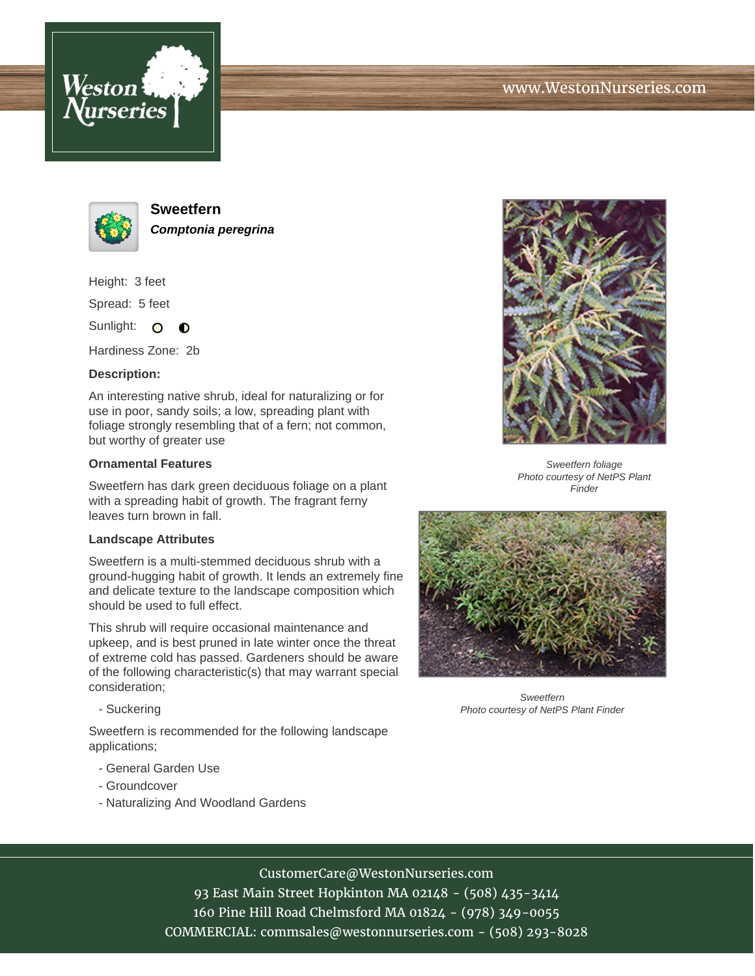





**Sweetfern Comptonia peregrina**

Height: 3 feet

Spread: 5 feet

Sunlight: O  $\bullet$ 

Hardiness Zone: 2b

## **Description:**

An interesting native shrub, ideal for naturalizing or for use in poor, sandy soils; a low, spreading plant with foliage strongly resembling that of a fern; not common, but worthy of greater use

## **Ornamental Features**

Sweetfern has dark green deciduous foliage on a plant with a spreading habit of growth. The fragrant ferny leaves turn brown in fall.

## **Landscape Attributes**

Sweetfern is a multi-stemmed deciduous shrub with a ground-hugging habit of growth. It lends an extremely fine and delicate texture to the landscape composition which should be used to full effect.

This shrub will require occasional maintenance and upkeep, and is best pruned in late winter once the threat of extreme cold has passed. Gardeners should be aware of the following characteristic(s) that may warrant special consideration;

- Suckering

Sweetfern is recommended for the following landscape applications;

- General Garden Use
- Groundcover
- Naturalizing And Woodland Gardens



Sweetfern foliage Photo courtesy of NetPS Plant Finder



Sweetfern Photo courtesy of NetPS Plant Finder

CustomerCare@WestonNurseries.com

93 East Main Street Hopkinton MA 02148 - (508) 435-3414 160 Pine Hill Road Chelmsford MA 01824 - (978) 349-0055 COMMERCIAL: commsales@westonnurseries.com - (508) 293-8028